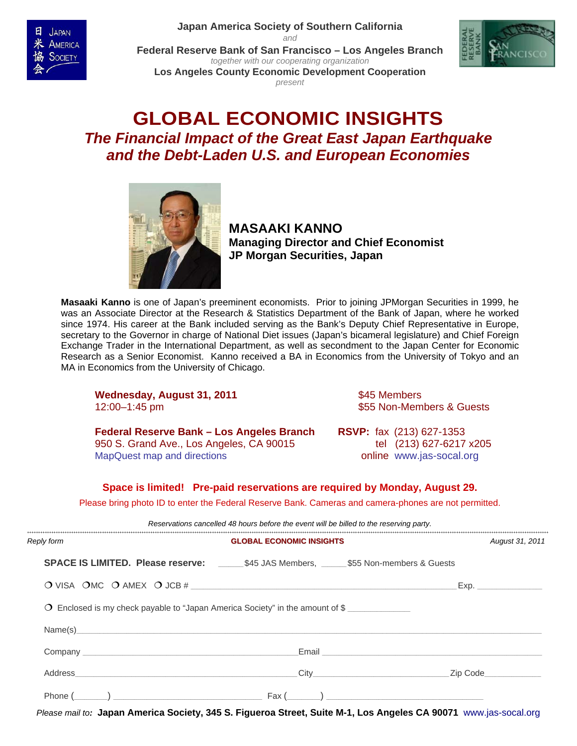**[Japan America Society of Southern California](http://www.jas-socal.org/)**

*and* 



**[Federal Reserve Bank of San Francisco](http://www.frbsf.org/) – Los Angeles Branch**  *together with our cooperating organization*  **[Los Angeles County Economic Development Cooperation](http://www.laedc.org/)**



*present* 

# **GLOBAL ECONOMIC INSIGHTS**  *The Financial Impact of the Great East Japan Earthquake and the Debt-Laden U.S. and European Economies*



**MASAAKI KANNO Managing Director and Chief Economist JP Morgan Securities, Japan**

**Masaaki Kanno** is one of Japan's preeminent economists. Prior to joining JPMorgan Securities in 1999, he was an Associate Director at the Research & Statistics Department of the Bank of Japan, where he worked since 1974. His career at the Bank included serving as the Bank's Deputy Chief Representative in Europe, secretary to the Governor in charge of National Diet issues (Japan's bicameral legislature) and Chief Foreign Exchange Trader in the International Department, as well as secondment to the Japan Center for Economic Research as a Senior Economist. Kanno received a BA in Economics from the University of Tokyo and an MA in Economics from the University of Chicago.

**Wednesday, August 31, 2011 345 Members** 12:00–1:45 pm  $$55$  Non-Members & Guests

**Federal Reserve Bank – Los Angeles Branch RSVP:** fax (213) 627-1353 950 S. Grand Ave., Los Angeles, CA 90015tel (213) 627-6217 x205 [MapQuest map and directions](http://mapq.st/qnevhJ) **by a struck online [www.jas-socal.org](http://www.jas-socal.org/)** 

#### **Space is limited! Pre-paid reservations are required by Monday, August 29.**

Please bring photo ID to enter the Federal Reserve Bank. Cameras and camera-phones are not permitted.

| Reservations cancelled 48 hours before the event will be billed to the reserving party. |                                                                                                        |                                 |                                                                                                                                                                                                                                    |                 |
|-----------------------------------------------------------------------------------------|--------------------------------------------------------------------------------------------------------|---------------------------------|------------------------------------------------------------------------------------------------------------------------------------------------------------------------------------------------------------------------------------|-----------------|
| Reply form                                                                              |                                                                                                        | <b>GLOBAL ECONOMIC INSIGHTS</b> |                                                                                                                                                                                                                                    | August 31, 2011 |
|                                                                                         | <b>SPACE IS LIMITED. Please reserve:</b> ___________\$45 JAS Members, _______\$55 Non-members & Guests |                                 |                                                                                                                                                                                                                                    |                 |
|                                                                                         | O VISA OMC O AMEX O JCB #                                                                              |                                 |                                                                                                                                                                                                                                    | Exp.            |
|                                                                                         | Enclosed is my check payable to "Japan America Society" in the amount of \$<br>$\circ$                 |                                 |                                                                                                                                                                                                                                    |                 |
|                                                                                         | Name(s)                                                                                                |                                 |                                                                                                                                                                                                                                    |                 |
|                                                                                         |                                                                                                        |                                 | Email <b>Email Email and Email and Email and Email and Email and Email and Email and Email and Email and Email and Email and Email and Email and Email and Email and Email and Email and Email and Email and Email and Email a</b> |                 |
|                                                                                         | Address                                                                                                | City                            | Zip Code                                                                                                                                                                                                                           |                 |
|                                                                                         | $\mathsf{Phone}\ (\_\_)\ \_\_$                                                                         |                                 |                                                                                                                                                                                                                                    |                 |

*Please mail to:* **Japan America Society, 345 S. Figueroa Street, Suite M-1, Los Angeles CA 90071** [www.jas-socal.org](http://www.jas-socal.org/)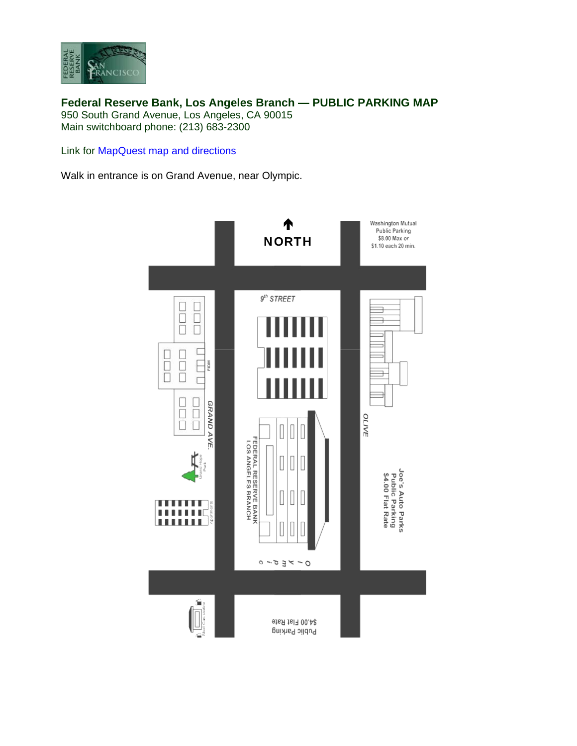

**Federal Reserve Bank, Los Angeles Branch — PUBLIC PARKING MAP**  950 South Grand Avenue, Los Angeles, CA 90015 Main switchboard phone: (213) 683-2300

Link for [MapQuest map and directions](http://mapq.st/qnevhJ) 

Walk in entrance is on Grand Avenue, near Olympic.